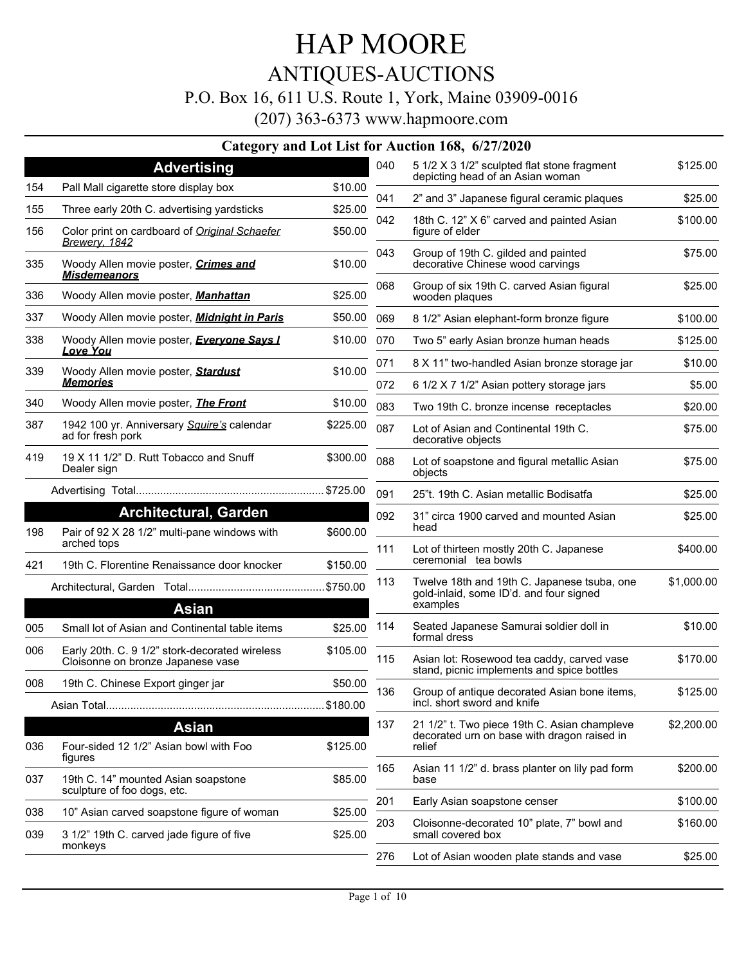# HAP MOORE ANTIQUES-AUCTIONS

### P.O. Box 16, 611 U.S. Route 1, York, Maine 03909-0016

(207) 363-6373 www.hapmoore.com

|     |                                                                                     |          |     | Category and Lot List for Auction 168, 6/27/2020                                            |            |
|-----|-------------------------------------------------------------------------------------|----------|-----|---------------------------------------------------------------------------------------------|------------|
|     | <b>Advertising</b>                                                                  |          | 040 | 5 1/2 X 3 1/2" sculpted flat stone fragment<br>depicting head of an Asian woman             | \$125.00   |
| 154 | Pall Mall cigarette store display box                                               | \$10.00  | 041 |                                                                                             |            |
| 155 | Three early 20th C. advertising yardsticks                                          | \$25.00  |     | 2" and 3" Japanese figural ceramic plaques                                                  | \$25.00    |
| 156 | Color print on cardboard of Original Schaefer<br><b>Brewery, 1842</b>               | \$50.00  | 042 | 18th C. 12" X 6" carved and painted Asian<br>figure of elder                                | \$100.00   |
| 335 | Woody Allen movie poster, <b>Crimes and</b><br><b>Misdemeanors</b>                  | \$10.00  | 043 | Group of 19th C. gilded and painted<br>decorative Chinese wood carvings                     | \$75.00    |
| 336 | Woody Allen movie poster, <b>Manhattan</b>                                          | \$25.00  | 068 | Group of six 19th C. carved Asian figural<br>wooden plaques                                 | \$25.00    |
| 337 | Woody Allen movie poster, <b>Midnight in Paris</b>                                  | \$50.00  | 069 | 8 1/2" Asian elephant-form bronze figure                                                    | \$100.00   |
| 338 | Woody Allen movie poster, <b>Everyone Says I</b><br><b>Love You</b>                 | \$10.00  | 070 | Two 5" early Asian bronze human heads                                                       | \$125.00   |
| 339 | Woody Allen movie poster, <b>Stardust</b>                                           | \$10.00  | 071 | 8 X 11" two-handled Asian bronze storage jar                                                | \$10.00    |
|     | <b>Memories</b>                                                                     |          | 072 | 6 1/2 X 7 1/2" Asian pottery storage jars                                                   | \$5.00     |
| 340 | Woody Allen movie poster, <b>The Front</b>                                          | \$10.00  | 083 | Two 19th C. bronze incense receptacles                                                      | \$20.00    |
| 387 | 1942 100 yr. Anniversary Squire's calendar<br>ad for fresh pork                     | \$225.00 | 087 | Lot of Asian and Continental 19th C.<br>decorative objects                                  | \$75.00    |
| 419 | 19 X 11 1/2" D. Rutt Tobacco and Snuff<br>Dealer sign                               | \$300.00 | 088 | Lot of soapstone and figural metallic Asian<br>objects                                      | \$75.00    |
|     |                                                                                     |          | 091 | 25"t. 19th C. Asian metallic Bodisatfa                                                      | \$25.00    |
|     | <b>Architectural, Garden</b>                                                        |          | 092 | 31" circa 1900 carved and mounted Asian                                                     | \$25.00    |
| 198 | Pair of 92 X 28 1/2" multi-pane windows with                                        | \$600.00 |     | head                                                                                        |            |
| 421 | arched tops<br>19th C. Florentine Renaissance door knocker                          | \$150.00 | 111 | Lot of thirteen mostly 20th C. Japanese<br>ceremonial tea bowls                             | \$400.00   |
|     |                                                                                     |          | 113 | Twelve 18th and 19th C. Japanese tsuba, one<br>gold-inlaid, some ID'd. and four signed      | \$1,000.00 |
|     | <b>Asian</b>                                                                        |          |     | examples                                                                                    |            |
| 005 | Small lot of Asian and Continental table items                                      | \$25.00  | 114 | Seated Japanese Samurai soldier doll in<br>formal dress                                     | \$10.00    |
| 006 | Early 20th. C. 9 1/2" stork-decorated wireless<br>Cloisonne on bronze Japanese vase | \$105.00 | 115 | Asian lot: Rosewood tea caddy, carved vase<br>stand, picnic implements and spice bottles    | \$170.00   |
| 008 | 19th C. Chinese Export ginger jar                                                   | \$50.00  | 136 | Group of antique decorated Asian bone items,                                                | \$125.00   |
|     |                                                                                     |          |     | incl. short sword and knife                                                                 |            |
|     | <b>Asian</b>                                                                        |          | 137 | 21 1/2" t. Two piece 19th C. Asian champleve<br>decorated urn on base with dragon raised in | \$2,200.00 |
| 036 | Four-sided 12 1/2" Asian bowl with Foo<br>figures                                   | \$125.00 |     | relief                                                                                      |            |
| 037 | 19th C. 14" mounted Asian soapstone<br>sculpture of foo dogs, etc.                  | \$85.00  | 165 | Asian 11 1/2" d. brass planter on lily pad form<br>base                                     | \$200.00   |
| 038 | 10" Asian carved soapstone figure of woman                                          | \$25.00  | 201 | Early Asian soapstone censer                                                                | \$100.00   |
| 039 | 3 1/2" 19th C. carved jade figure of five                                           | \$25.00  | 203 | Cloisonne-decorated 10" plate, 7" bowl and<br>small covered box                             | \$160.00   |
|     | monkeys                                                                             |          | 276 | Lot of Asian wooden plate stands and vase                                                   | \$25.00    |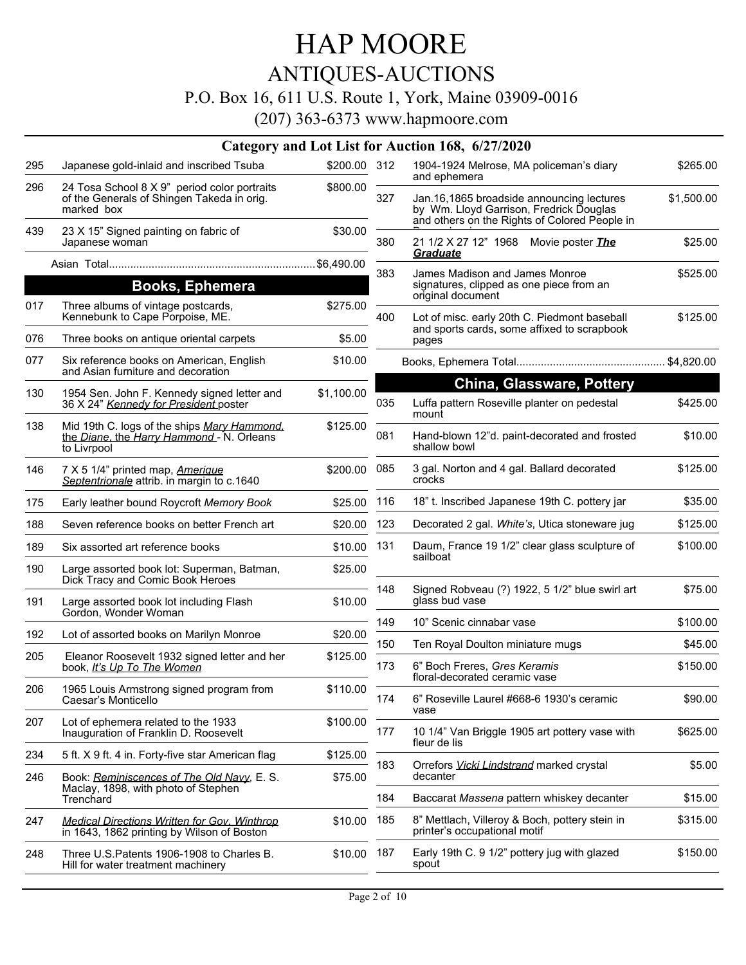### ANTIQUES-AUCTIONS

P.O. Box 16, 611 U.S. Route 1, York, Maine 03909-0016

|     |                                                                                                          |              |     | Category and Lot List for Auction 168, 6/27/2020                                                     |            |
|-----|----------------------------------------------------------------------------------------------------------|--------------|-----|------------------------------------------------------------------------------------------------------|------------|
| 295 | Japanese gold-inlaid and inscribed Tsuba                                                                 | \$200.00 312 |     | 1904-1924 Melrose, MA policeman's diary                                                              | \$265.00   |
| 296 | 24 Tosa School 8 X 9" period color portraits<br>of the Generals of Shingen Takeda in orig.<br>marked box | \$800.00     | 327 | and ephemera<br>Jan.16,1865 broadside announcing lectures<br>by Wm. Lloyd Garrison, Fredrick Douglas | \$1,500.00 |
| 439 | 23 X 15" Signed painting on fabric of<br>Japanese woman                                                  | \$30.00      | 380 | and others on the Rights of Colored People in<br>21 1/2 X 27 12" 1968 Movie poster The               | \$25.00    |
|     |                                                                                                          |              |     | Graduate                                                                                             |            |
|     | <b>Books, Ephemera</b>                                                                                   |              | 383 | James Madison and James Monroe<br>signatures, clipped as one piece from an                           | \$525.00   |
| 017 | Three albums of vintage postcards,<br>Kennebunk to Cape Porpoise, ME.                                    | \$275.00     | 400 | original document<br>Lot of misc. early 20th C. Piedmont baseball                                    | \$125.00   |
| 076 | Three books on antique oriental carpets                                                                  | \$5.00       |     | and sports cards, some affixed to scrapbook<br>pages                                                 |            |
| 077 | Six reference books on American, English<br>and Asian furniture and decoration                           | \$10.00      |     |                                                                                                      |            |
| 130 | 1954 Sen. John F. Kennedy signed letter and<br>36 X 24" Kennedy for President poster                     | \$1,100.00   | 035 | China, Glassware, Pottery<br>Luffa pattern Roseville planter on pedestal<br>mount                    | \$425.00   |
| 138 | Mid 19th C. logs of the ships Mary Hammond.<br>the Diane, the Harry Hammond - N. Orleans<br>to Livrpool  | \$125.00     | 081 | Hand-blown 12"d. paint-decorated and frosted<br>shallow bowl                                         | \$10.00    |
| 146 | 7 X 5 1/4" printed map, Amerique<br>Septentrionale attrib. in margin to c.1640                           | \$200.00 085 |     | 3 gal. Norton and 4 gal. Ballard decorated<br>crocks                                                 | \$125.00   |
| 175 | Early leather bound Roycroft Memory Book                                                                 | \$25.00      | 116 | 18" t. Inscribed Japanese 19th C. pottery jar                                                        | \$35.00    |
| 188 | Seven reference books on better French art                                                               | \$20.00 123  |     | Decorated 2 gal. White's, Utica stoneware jug                                                        | \$125.00   |
| 189 | Six assorted art reference books                                                                         | \$10.00      | 131 | Daum, France 19 1/2" clear glass sculpture of<br>sailboat                                            | \$100.00   |
| 190 | Large assorted book lot: Superman, Batman,<br>Dick Tracy and Comic Book Heroes                           | \$25.00      |     |                                                                                                      |            |
| 191 | Large assorted book lot including Flash<br>Gordon, Wonder Woman                                          | \$10.00      | 148 | Signed Robveau (?) 1922, 5 1/2" blue swirl art<br>glass bud vase                                     | \$75.00    |
| 192 | Lot of assorted books on Marilyn Monroe                                                                  | \$20.00      | 149 | 10" Scenic cinnabar vase                                                                             | \$100.00   |
| 205 | Eleanor Roosevelt 1932 signed letter and her                                                             | \$125.00     | 150 | Ten Royal Doulton miniature mugs                                                                     | \$45.00    |
|     | book, It's Up To The Women                                                                               |              | 173 | 6" Boch Freres, Gres Keramis<br>floral-decorated ceramic vase                                        | \$150.00   |
| 206 | 1965 Louis Armstrong signed program from<br>Caesar's Monticello                                          | \$110.00     | 174 | 6" Roseville Laurel #668-6 1930's ceramic<br>vase                                                    | \$90.00    |
| 207 | Lot of ephemera related to the 1933<br>Inauguration of Franklin D. Roosevelt                             | \$100.00     | 177 | 10 1/4" Van Briggle 1905 art pottery vase with<br>fleur de lis                                       | \$625.00   |
| 234 | 5 ft. X 9 ft. 4 in. Forty-five star American flag                                                        | \$125.00     | 183 | Orrefors <i>Vicki Lindstrand</i> marked crystal                                                      | \$5.00     |
| 246 | Book: Reminiscences of The Old Navy, E. S.<br>Maclay, 1898, with photo of Stephen                        | \$75.00      |     | decanter                                                                                             |            |
|     | Trenchard                                                                                                |              | 184 | Baccarat Massena pattern whiskey decanter                                                            | \$15.00    |
| 247 | <b>Medical Directions Written for Gov. Winthrop</b><br>in 1643, 1862 printing by Wilson of Boston        | \$10.00      | 185 | 8" Mettlach, Villeroy & Boch, pottery stein in<br>printer's occupational motif                       | \$315.00   |
| 248 | Three U.S. Patents 1906-1908 to Charles B.<br>Hill for water treatment machinery                         | \$10.00 187  |     | Early 19th C. 9 1/2" pottery jug with glazed<br>spout                                                | \$150.00   |
|     |                                                                                                          |              |     |                                                                                                      |            |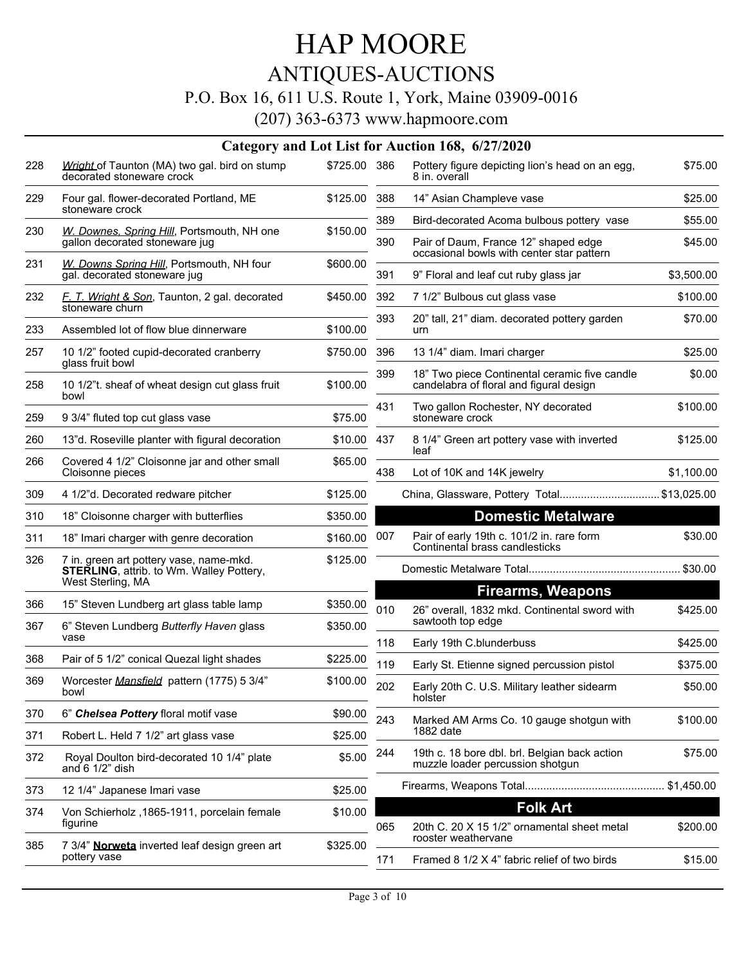### ANTIQUES-AUCTIONS

#### P.O. Box 16, 611 U.S. Route 1, York, Maine 03909-0016

|     |                                                                                                                 |              |     | Category and Lot List for Auction 168, 6/27/2020                                         |            |
|-----|-----------------------------------------------------------------------------------------------------------------|--------------|-----|------------------------------------------------------------------------------------------|------------|
| 228 | Wright of Taunton (MA) two gal. bird on stump<br>decorated stoneware crock                                      | \$725.00 386 |     | Pottery figure depicting lion's head on an egg,<br>8 in. overall                         | \$75.00    |
| 229 | Four gal. flower-decorated Portland, ME<br>stoneware crock                                                      | \$125.00     | 388 | 14" Asian Champleve vase                                                                 | \$25.00    |
|     |                                                                                                                 |              | 389 | Bird-decorated Acoma bulbous pottery vase                                                | \$55.00    |
| 230 | W. Downes, Spring Hill, Portsmouth, NH one<br>gallon decorated stoneware jug                                    | \$150.00     | 390 | Pair of Daum, France 12" shaped edge<br>occasional bowls with center star pattern        | \$45.00    |
| 231 | W. Downs Spring Hill, Portsmouth, NH four<br>gal. decorated stoneware jug                                       | \$600.00     | 391 | 9" Floral and leaf cut ruby glass jar                                                    | \$3,500.00 |
| 232 | F. T. Wright & Son, Taunton, 2 gal. decorated<br>stoneware churn                                                | \$450.00     | 392 | 7 1/2" Bulbous cut glass vase                                                            | \$100.00   |
| 233 | Assembled lot of flow blue dinnerware                                                                           | \$100.00     | 393 | 20" tall, 21" diam. decorated pottery garden<br>urn                                      | \$70.00    |
| 257 | 10 1/2" footed cupid-decorated cranberry<br>glass fruit bowl                                                    | \$750.00     | 396 | 13 1/4" diam. Imari charger                                                              | \$25.00    |
| 258 | 10 1/2"t. sheaf of wheat design cut glass fruit<br>bowl                                                         | \$100.00     | 399 | 18" Two piece Continental ceramic five candle<br>candelabra of floral and figural design | \$0.00     |
| 259 | 9 3/4" fluted top cut glass vase                                                                                | \$75.00      | 431 | Two gallon Rochester, NY decorated<br>stoneware crock                                    | \$100.00   |
| 260 | 13"d. Roseville planter with figural decoration                                                                 | \$10.00      | 437 | 8 1/4" Green art pottery vase with inverted<br>leaf                                      | \$125.00   |
| 266 | Covered 4 1/2" Cloisonne jar and other small<br>Cloisonne pieces                                                | \$65.00      | 438 | Lot of 10K and 14K jewelry                                                               | \$1,100.00 |
| 309 | 4 1/2" d. Decorated redware pitcher                                                                             | \$125.00     |     | China, Glassware, Pottery Total\$13,025.00                                               |            |
| 310 | 18" Cloisonne charger with butterflies                                                                          | \$350.00     |     | <b>Domestic Metalware</b>                                                                |            |
| 311 | 18" Imari charger with genre decoration                                                                         | \$160.00     | 007 | Pair of early 19th c. 101/2 in. rare form<br>Continental brass candlesticks              | \$30.00    |
| 326 | 7 in. green art pottery vase, name-mkd.<br><b>STERLING, attrib. to Wm. Walley Pottery,</b><br>West Sterling, MA | \$125.00     |     |                                                                                          |            |
| 366 | 15" Steven Lundberg art glass table lamp                                                                        | \$350.00     | 010 | <b>Firearms, Weapons</b><br>26" overall, 1832 mkd. Continental sword with                | \$425.00   |
| 367 | 6" Steven Lundberg Butterfly Haven glass                                                                        | \$350.00     |     | sawtooth top edge                                                                        |            |
|     | vase                                                                                                            |              | 118 | Early 19th C.blunderbuss                                                                 | \$425.00   |
| 368 | Pair of 5 1/2" conical Quezal light shades                                                                      | \$225.00     | 119 | Early St. Etienne signed percussion pistol                                               | \$375.00   |
| 369 | Worcester Mansfield pattern (1775) 5 3/4"<br>bowl                                                               | \$100.00     | 202 | Early 20th C. U.S. Military leather sidearm<br>holster                                   | \$50.00    |
| 370 | 6" Chelsea Pottery floral motif vase                                                                            | \$90.00      | 243 | Marked AM Arms Co. 10 gauge shotgun with                                                 | \$100.00   |
| 371 | Robert L. Held 7 1/2" art glass vase                                                                            | \$25.00      |     | 1882 date                                                                                |            |
| 372 | Royal Doulton bird-decorated 10 1/4" plate<br>and $61/2$ " dish                                                 | \$5.00       | 244 | 19th c. 18 bore dbl. brl. Belgian back action<br>muzzle loader percussion shotgun        | \$75.00    |
| 373 | 12 1/4" Japanese Imari vase                                                                                     | \$25.00      |     |                                                                                          |            |
| 374 | Von Schierholz, 1865-1911, porcelain female<br>figurine                                                         | \$10.00      |     | <b>Folk Art</b>                                                                          |            |
| 385 | 7 3/4" Norweta inverted leaf design green art                                                                   | \$325.00     | 065 | 20th C. 20 X 15 1/2" ornamental sheet metal<br>rooster weathervane                       | \$200.00   |
|     | pottery vase                                                                                                    |              | 171 | Framed 8 1/2 X 4" fabric relief of two birds                                             | \$15.00    |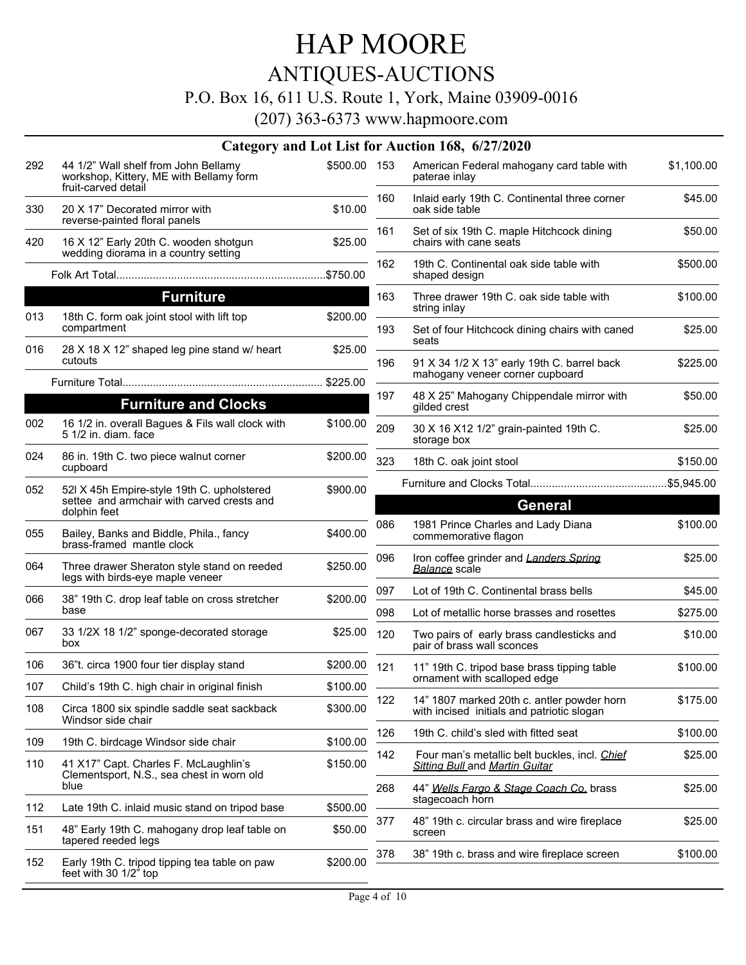### ANTIQUES-AUCTIONS

#### P.O. Box 16, 611 U.S. Route 1, York, Maine 03909-0016

|     |                                                                                                        |              |     | Category and Lot List for Auction 168, 6/27/2020                                         |            |
|-----|--------------------------------------------------------------------------------------------------------|--------------|-----|------------------------------------------------------------------------------------------|------------|
| 292 | 44 1/2" Wall shelf from John Bellamy<br>workshop, Kittery, ME with Bellamy form<br>fruit-carved detail | \$500.00 153 |     | American Federal mahogany card table with<br>paterae inlay                               | \$1,100.00 |
| 330 | 20 X 17" Decorated mirror with                                                                         | \$10.00      | 160 | Inlaid early 19th C. Continental three corner<br>oak side table                          | \$45.00    |
| 420 | reverse-painted floral panels<br>16 X 12" Early 20th C. wooden shotgun                                 | \$25.00      | 161 | Set of six 19th C. maple Hitchcock dining<br>chairs with cane seats                      | \$50.00    |
|     | wedding diorama in a country setting                                                                   |              | 162 | 19th C. Continental oak side table with<br>shaped design                                 | \$500.00   |
|     | <b>Furniture</b>                                                                                       |              | 163 | Three drawer 19th C. oak side table with                                                 | \$100.00   |
| 013 | 18th C. form oak joint stool with lift top                                                             | \$200.00     |     | string inlay                                                                             |            |
|     | compartment                                                                                            |              | 193 | Set of four Hitchcock dining chairs with caned<br>seats                                  | \$25.00    |
| 016 | 28 X 18 X 12" shaped leg pine stand w/ heart<br>cutouts                                                | \$25.00      | 196 | 91 X 34 1/2 X 13" early 19th C. barrel back                                              | \$225.00   |
|     |                                                                                                        |              |     | mahogany veneer corner cupboard                                                          |            |
|     | <b>Furniture and Clocks</b>                                                                            |              | 197 | 48 X 25" Mahogany Chippendale mirror with<br>gilded crest                                | \$50.00    |
| 002 | 16 1/2 in. overall Bagues & Fils wall clock with<br>5 1/2 in. diam. face                               | \$100.00     | 209 | 30 X 16 X12 1/2" grain-painted 19th C.<br>storage box                                    | \$25.00    |
| 024 | 86 in. 19th C. two piece walnut corner<br>cupboard                                                     | \$200.00     | 323 | 18th C. oak joint stool                                                                  | \$150.00   |
| 052 | 52l X 45h Empire-style 19th C. upholstered                                                             | \$900.00     |     |                                                                                          |            |
|     | settee and armchair with carved crests and<br>dolphin feet                                             |              |     | <b>General</b>                                                                           |            |
| 055 | Bailey, Banks and Biddle, Phila., fancy<br>brass-framed mantle clock                                   | \$400.00     | 086 | 1981 Prince Charles and Lady Diana<br>commemorative flagon                               | \$100.00   |
| 064 | Three drawer Sheraton style stand on reeded<br>legs with birds-eye maple veneer                        | \$250.00     | 096 | Iron coffee grinder and Landers Spring<br><b>Balance</b> scale                           | \$25.00    |
| 066 | 38" 19th C. drop leaf table on cross stretcher                                                         | \$200.00     | 097 | Lot of 19th C. Continental brass bells                                                   | \$45.00    |
|     | base                                                                                                   |              | 098 | Lot of metallic horse brasses and rosettes                                               | \$275.00   |
| 067 | 33 1/2X 18 1/2" sponge-decorated storage<br>box                                                        | \$25.00      | 120 | Two pairs of early brass candlesticks and<br>pair of brass wall sconces                  | \$10.00    |
| 106 | 36"t. circa 1900 four tier display stand                                                               | \$200.00     | 121 | 11" 19th C. tripod base brass tipping table                                              | \$100.00   |
| 107 | Child's 19th C. high chair in original finish                                                          | \$100.00     |     | ornament with scalloped edge                                                             |            |
| 108 | Circa 1800 six spindle saddle seat sackback<br>Windsor side chair                                      | \$300.00     | 122 | 14" 1807 marked 20th c. antler powder horn<br>with incised initials and patriotic slogan | \$175.00   |
| 109 | 19th C. birdcage Windsor side chair                                                                    | \$100.00     | 126 | 19th C. child's sled with fitted seat                                                    | \$100.00   |
| 110 | 41 X17" Capt. Charles F. McLaughlin's<br>Clementsport, N.S., sea chest in worn old                     | \$150.00     | 142 | Four man's metallic belt buckles, incl. Chief<br>Sitting Bull and Martin Guitar          | \$25.00    |
|     | blue                                                                                                   | \$500.00     | 268 | 44" Wells Fargo & Stage Coach Co. brass<br>stagecoach horn                               | \$25.00    |
| 112 | Late 19th C. inlaid music stand on tripod base                                                         |              | 377 | 48" 19th c. circular brass and wire fireplace                                            | \$25.00    |
| 151 | 48" Early 19th C. mahogany drop leaf table on<br>tapered reeded legs                                   | \$50.00      |     | screen                                                                                   |            |
| 152 | Early 19th C. tripod tipping tea table on paw<br>feet with 30 1/2" top                                 | \$200.00     | 378 | 38" 19th c. brass and wire fireplace screen                                              | \$100.00   |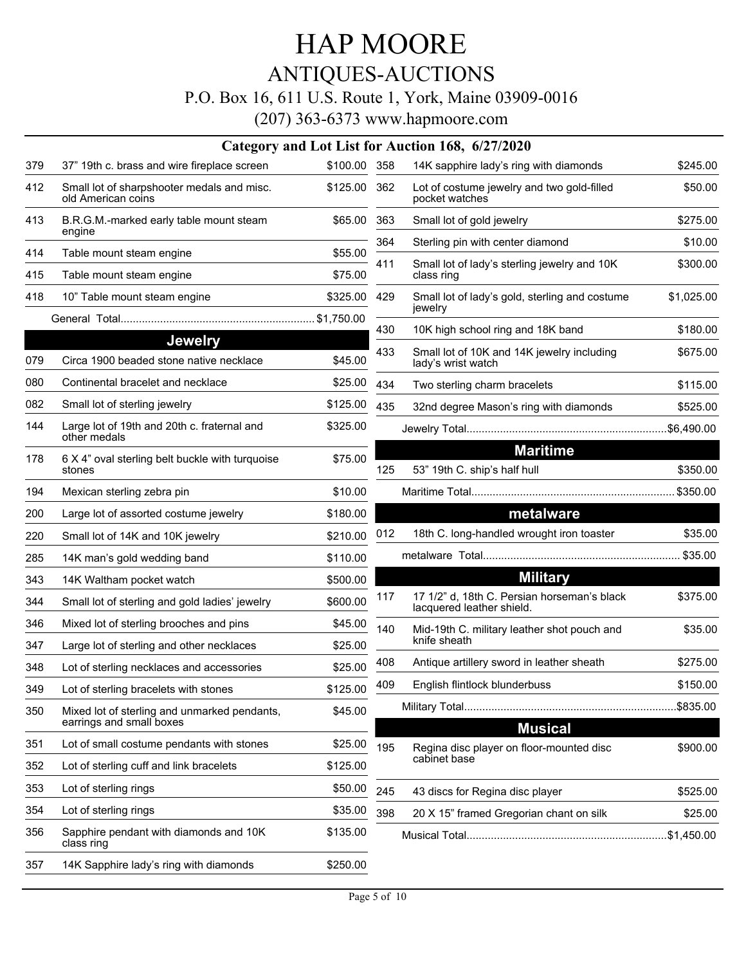### ANTIQUES-AUCTIONS

#### P.O. Box 16, 611 U.S. Route 1, York, Maine 03909-0016

|     |                                                                          |              |     | Category and Lot List for Auction 168, 6/27/2020                         |            |
|-----|--------------------------------------------------------------------------|--------------|-----|--------------------------------------------------------------------------|------------|
| 379 | 37" 19th c. brass and wire fireplace screen                              | \$100.00 358 |     | 14K sapphire lady's ring with diamonds                                   | \$245.00   |
| 412 | Small lot of sharpshooter medals and misc.<br>old American coins         | \$125.00 362 |     | Lot of costume jewelry and two gold-filled<br>pocket watches             | \$50.00    |
| 413 | B.R.G.M.-marked early table mount steam<br>engine                        | \$65.00 363  |     | Small lot of gold jewelry                                                | \$275.00   |
| 414 | Table mount steam engine                                                 | \$55.00      | 364 | Sterling pin with center diamond                                         | \$10.00    |
| 415 | Table mount steam engine                                                 | \$75.00      | 411 | Small lot of lady's sterling jewelry and 10K<br>class ring               | \$300.00   |
| 418 | 10" Table mount steam engine                                             | \$325.00     | 429 | Small lot of lady's gold, sterling and costume<br>jewelry                | \$1,025.00 |
|     |                                                                          |              |     |                                                                          |            |
|     | <b>Jewelry</b>                                                           |              | 430 | 10K high school ring and 18K band                                        | \$180.00   |
| 079 | Circa 1900 beaded stone native necklace                                  | \$45.00      | 433 | Small lot of 10K and 14K jewelry including<br>lady's wrist watch         | \$675.00   |
| 080 | Continental bracelet and necklace                                        | \$25.00      | 434 | Two sterling charm bracelets                                             | \$115.00   |
| 082 | Small lot of sterling jewelry                                            | \$125.00     | 435 | 32nd degree Mason's ring with diamonds                                   | \$525.00   |
| 144 | Large lot of 19th and 20th c. fraternal and<br>other medals              | \$325.00     |     |                                                                          |            |
| 178 | 6 X 4" oval sterling belt buckle with turquoise                          | \$75.00      |     | <b>Maritime</b>                                                          |            |
|     | stones                                                                   |              | 125 | 53" 19th C. ship's half hull                                             | \$350.00   |
| 194 | Mexican sterling zebra pin                                               | \$10.00      |     |                                                                          |            |
| 200 | Large lot of assorted costume jewelry                                    | \$180.00     |     | metalware                                                                |            |
| 220 | Small lot of 14K and 10K jewelry                                         | \$210.00     | 012 | 18th C. long-handled wrought iron toaster                                | \$35.00    |
| 285 | 14K man's gold wedding band                                              | \$110.00     |     |                                                                          | \$35.00    |
| 343 | 14K Waltham pocket watch                                                 | \$500.00     |     | <b>Military</b>                                                          |            |
| 344 | Small lot of sterling and gold ladies' jewelry                           | \$600.00     | 117 | 17 1/2" d, 18th C. Persian horseman's black<br>lacquered leather shield. | \$375.00   |
| 346 | Mixed lot of sterling brooches and pins                                  | \$45.00      | 140 | Mid-19th C. military leather shot pouch and                              | \$35.00    |
| 347 | Large lot of sterling and other necklaces                                | \$25.00      |     | knife sheath                                                             |            |
| 348 | Lot of sterling necklaces and accessories                                | \$25.00      | 408 | Antique artillery sword in leather sheath                                | \$275.00   |
| 349 | Lot of sterling bracelets with stones                                    | \$125.00     | 409 | English flintlock blunderbuss                                            | \$150.00   |
| 350 | Mixed lot of sterling and unmarked pendants,<br>earrings and small boxes | \$45.00      |     | <b>Musical</b>                                                           |            |
| 351 | Lot of small costume pendants with stones                                | \$25.00      | 195 | Regina disc player on floor-mounted disc                                 | \$900.00   |
| 352 | Lot of sterling cuff and link bracelets                                  | \$125.00     |     | cabinet base                                                             |            |
| 353 | Lot of sterling rings                                                    | \$50.00      | 245 | 43 discs for Regina disc player                                          | \$525.00   |
| 354 | Lot of sterling rings                                                    | \$35.00      | 398 | 20 X 15" framed Gregorian chant on silk                                  | \$25.00    |
| 356 | Sapphire pendant with diamonds and 10K<br>class ring                     | \$135.00     |     |                                                                          |            |
| 357 | 14K Sapphire lady's ring with diamonds                                   | \$250.00     |     |                                                                          |            |
|     |                                                                          |              |     |                                                                          |            |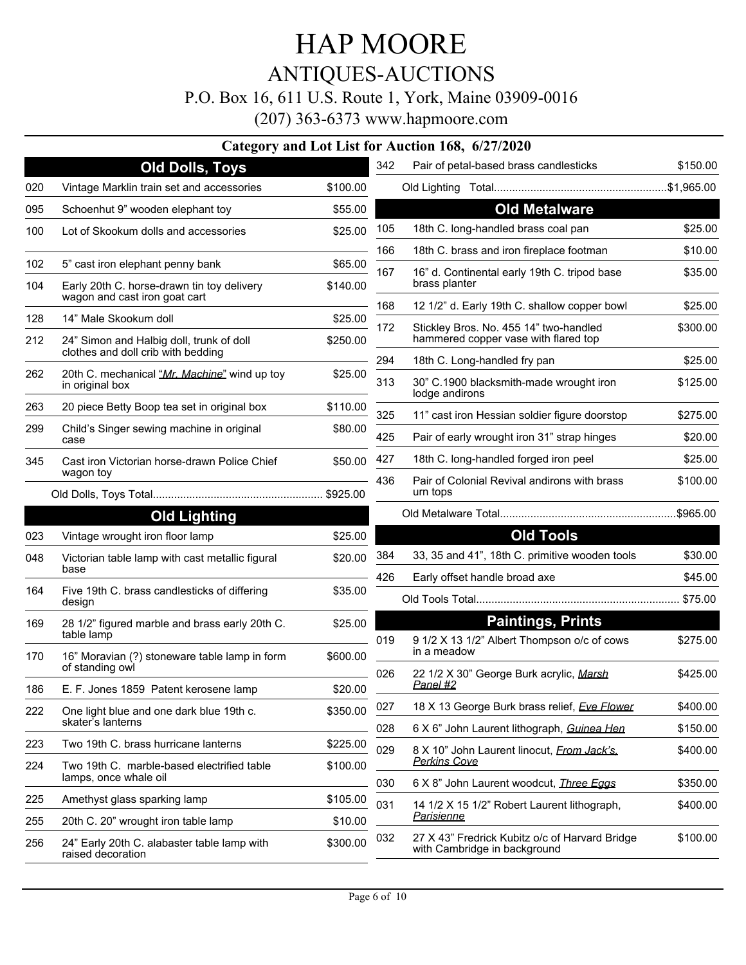# ANTIQUES-AUCTIONS

### P.O. Box 16, 611 U.S. Route 1, York, Maine 03909-0016

|            |                                                                                |                     |     | Category and Lot List for Auction 168, 6/27/2020                               |          |
|------------|--------------------------------------------------------------------------------|---------------------|-----|--------------------------------------------------------------------------------|----------|
|            | <b>Old Dolls, Toys</b>                                                         |                     | 342 | Pair of petal-based brass candlesticks                                         | \$150.00 |
| 020        | Vintage Marklin train set and accessories                                      | \$100.00            |     |                                                                                |          |
| 095        | Schoenhut 9" wooden elephant toy                                               | \$55.00             |     | <b>Old Metalware</b>                                                           |          |
| 100        | Lot of Skookum dolls and accessories                                           | \$25.00             | 105 | 18th C. long-handled brass coal pan                                            | \$25.00  |
|            |                                                                                |                     | 166 | 18th C. brass and iron fireplace footman                                       | \$10.00  |
| 102<br>104 | 5" cast iron elephant penny bank<br>Early 20th C. horse-drawn tin toy delivery | \$65.00<br>\$140.00 | 167 | 16" d. Continental early 19th C. tripod base<br>brass planter                  | \$35.00  |
|            | wagon and cast iron goat cart                                                  |                     | 168 | 12 1/2" d. Early 19th C. shallow copper bowl                                   | \$25.00  |
| 128<br>212 | 14" Male Skookum doll<br>24" Simon and Halbig doll, trunk of doll              | \$25.00<br>\$250.00 | 172 | Stickley Bros. No. 455 14" two-handled<br>hammered copper vase with flared top | \$300.00 |
|            | clothes and doll crib with bedding                                             |                     | 294 | 18th C. Long-handled fry pan                                                   | \$25.00  |
| 262        | 20th C. mechanical "Mr. Machine" wind up toy<br>in original box                | \$25.00             | 313 | 30" C.1900 blacksmith-made wrought iron<br>lodge andirons                      | \$125.00 |
| 263        | 20 piece Betty Boop tea set in original box                                    | \$110.00            | 325 | 11" cast iron Hessian soldier figure doorstop                                  | \$275.00 |
| 299        | Child's Singer sewing machine in original<br>case                              | \$80.00             | 425 | Pair of early wrought iron 31" strap hinges                                    | \$20.00  |
| 345        | Cast iron Victorian horse-drawn Police Chief                                   | \$50.00             | 427 | 18th C. long-handled forged iron peel                                          | \$25.00  |
|            | wagon toy                                                                      |                     | 436 | Pair of Colonial Revival andirons with brass<br>urn tops                       | \$100.00 |
|            | <b>Old Lighting</b>                                                            |                     |     |                                                                                |          |
| 023        | Vintage wrought iron floor lamp                                                | \$25.00             |     | <b>Old Tools</b>                                                               |          |
| 048        | Victorian table lamp with cast metallic figural                                | \$20.00             | 384 | 33, 35 and 41", 18th C. primitive wooden tools                                 | \$30.00  |
|            | base                                                                           |                     | 426 | Early offset handle broad axe                                                  | \$45.00  |
| 164        | Five 19th C. brass candlesticks of differing<br>design                         | \$35.00             |     |                                                                                |          |
| 169        | 28 1/2" figured marble and brass early 20th C.<br>table lamp                   | \$25.00             | 019 | <b>Paintings, Prints</b><br>9 1/2 X 13 1/2" Albert Thompson o/c of cows        | \$275.00 |
| 170        | 16" Moravian (?) stoneware table lamp in form<br>of standing owl               | \$600.00            |     | in a meadow                                                                    | \$425.00 |
| 186        | E. F. Jones 1859 Patent kerosene lamp                                          | \$20.00             | 026 | 22 1/2 X 30" George Burk acrylic, Marsh<br><u>Panel #2</u>                     |          |
| 222        | One light blue and one dark blue 19th c.                                       | \$350.00            | 027 | 18 X 13 George Burk brass relief, Eve Flower                                   | \$400.00 |
|            | skater's lanterns                                                              |                     | 028 | 6 X 6" John Laurent lithograph, Guinea Hen                                     | \$150.00 |
| 223        | Two 19th C. brass hurricane lanterns                                           | \$225.00            | 029 | 8 X 10" John Laurent linocut, <i>From Jack's</i> .                             | \$400.00 |
| 224        | Two 19th C. marble-based electrified table<br>lamps, once whale oil            | \$100.00            | 030 | <b>Perkins Cove</b><br>6 X 8" John Laurent woodcut, <i>Three Eggs</i>          | \$350.00 |
| 225        | Amethyst glass sparking lamp                                                   | \$105.00            | 031 |                                                                                | \$400.00 |
| 255        | 20th C. 20" wrought iron table lamp                                            | \$10.00             |     | 14 1/2 X 15 1/2" Robert Laurent lithograph,<br><u>Parisienne</u>               |          |
| 256        | 24" Early 20th C. alabaster table lamp with                                    | \$300.00            | 032 | 27 X 43" Fredrick Kubitz o/c of Harvard Bridge                                 | \$100.00 |
|            | raised decoration                                                              |                     |     | with Cambridge in background                                                   |          |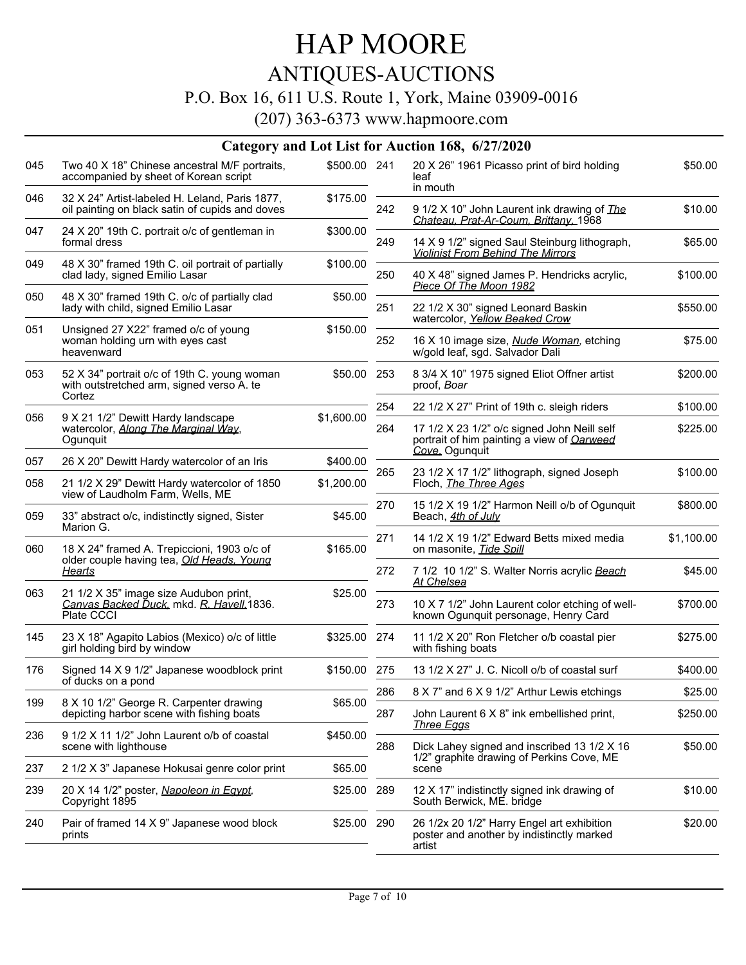### ANTIQUES-AUCTIONS

#### P.O. Box 16, 611 U.S. Route 1, York, Maine 03909-0016

|     |                                                                                                   |              |     | Category and Lot List for Auction 168, 6/27/2020                                                                   |            |
|-----|---------------------------------------------------------------------------------------------------|--------------|-----|--------------------------------------------------------------------------------------------------------------------|------------|
| 045 | Two 40 X 18" Chinese ancestral M/F portraits,<br>accompanied by sheet of Korean script            | \$500.00 241 |     | 20 X 26" 1961 Picasso print of bird holding<br>leaf<br>in mouth                                                    | \$50.00    |
| 046 | 32 X 24" Artist-labeled H. Leland, Paris 1877,<br>oil painting on black satin of cupids and doves | \$175.00     | 242 | 9 1/2 X 10" John Laurent ink drawing of <i>The</i><br>Chateau, Prat-Ar-Coum, Brittany, 1968                        | \$10.00    |
| 047 | 24 X 20" 19th C. portrait o/c of gentleman in<br>formal dress                                     | \$300.00     | 249 | 14 X 9 1/2" signed Saul Steinburg lithograph,                                                                      | \$65.00    |
| 049 | 48 X 30" framed 19th C. oil portrait of partially<br>clad lady, signed Emilio Lasar               | \$100.00     | 250 | Violinist From Behind The Mirrors<br>40 X 48" signed James P. Hendricks acrylic,                                   | \$100.00   |
| 050 | 48 X 30" framed 19th C. o/c of partially clad<br>lady with child, signed Emilio Lasar             | \$50.00      | 251 | Piece Of The Moon 1982<br>22 1/2 X 30" signed Leonard Baskin                                                       | \$550.00   |
| 051 | Unsigned 27 X22" framed o/c of young<br>woman holding urn with eyes cast<br>heavenward            | \$150.00     | 252 | watercolor, Yellow Beaked Crow<br>16 X 10 image size, Nude Woman, etching<br>w/gold leaf, sgd. Salvador Dali       | \$75.00    |
| 053 | 52 X 34" portrait o/c of 19th C. young woman<br>with outstretched arm, signed verso A. te         | \$50.00      | 253 | 8 3/4 X 10" 1975 signed Eliot Offner artist<br>proof, Boar                                                         | \$200.00   |
|     | Cortez                                                                                            |              | 254 | 22 1/2 X 27" Print of 19th c. sleigh riders                                                                        | \$100.00   |
| 056 | 9 X 21 1/2" Dewitt Hardy landscape<br>watercolor, Along The Marginal Way,<br>Ogunquit             | \$1,600.00   | 264 | 17 1/2 X 23 1/2" o/c signed John Neill self<br>portrait of him painting a view of <b>Oarweed</b><br>Cove, Ogunquit | \$225.00   |
| 057 | 26 X 20" Dewitt Hardy watercolor of an Iris                                                       | \$400.00     |     | 23 1/2 X 17 1/2" lithograph, signed Joseph                                                                         |            |
| 058 | 21 1/2 X 29" Dewitt Hardy watercolor of 1850<br>view of Laudholm Farm, Wells, ME                  | \$1,200.00   | 265 | Floch, The Three Ages                                                                                              | \$100.00   |
| 059 | 33" abstract o/c, indistinctly signed, Sister<br>Marion G.                                        | \$45.00      | 270 | 15 1/2 X 19 1/2" Harmon Neill o/b of Ogunquit<br>Beach, 4th of July                                                | \$800.00   |
| 060 | 18 X 24" framed A. Trepiccioni, 1903 o/c of                                                       | \$165.00     | 271 | 14 1/2 X 19 1/2" Edward Betts mixed media<br>on masonite, Tide Spill                                               | \$1,100.00 |
|     | older couple having tea, Old Heads, Young<br><b>Hearts</b>                                        |              | 272 | 7 1/2 10 1/2" S. Walter Norris acrylic Beach<br>At Chelsea                                                         | \$45.00    |
| 063 | 21 1/2 X 35" image size Audubon print,<br>Canvas Backed Duck, mkd. R. Havell 1836.<br>Plate CCCI  | \$25.00      | 273 | 10 X 7 1/2" John Laurent color etching of well-<br>known Ogunquit personage, Henry Card                            | \$700.00   |
| 145 | 23 X 18" Agapito Labios (Mexico) o/c of little<br>girl holding bird by window                     | \$325.00 274 |     | 11 1/2 X 20" Ron Fletcher o/b coastal pier<br>with fishing boats                                                   | \$275.00   |
| 176 | Signed 14 X 9 1/2" Japanese woodblock print<br>of ducks on a pond                                 | \$150.00 275 |     | 13 1/2 X 27" J. C. Nicoll o/b of coastal surf                                                                      | \$400.00   |
| 199 | 8 X 10 1/2" George R. Carpenter drawing                                                           | \$65.00      | 286 | 8 X 7" and 6 X 9 1/2" Arthur Lewis etchings                                                                        | \$25.00    |
|     | depicting harbor scene with fishing boats                                                         |              | 287 | John Laurent 6 X 8" ink embellished print,<br><b>Three Eaas</b>                                                    | \$250.00   |
| 236 | 9 1/2 X 11 1/2" John Laurent o/b of coastal<br>scene with lighthouse                              | \$450.00     | 288 | Dick Lahey signed and inscribed 13 1/2 X 16<br>1/2" graphite drawing of Perkins Cove, ME                           | \$50.00    |
| 237 | 2 1/2 X 3" Japanese Hokusai genre color print                                                     | \$65.00      |     | scene                                                                                                              |            |
| 239 | 20 X 14 1/2" poster, Napoleon in Egypt,<br>Copyright 1895                                         | \$25.00      | 289 | 12 X 17" indistinctly signed ink drawing of<br>South Berwick, ME. bridge                                           | \$10.00    |
| 240 | Pair of framed 14 X 9" Japanese wood block<br>prints                                              | \$25.00 290  |     | 26 1/2x 20 1/2" Harry Engel art exhibition<br>poster and another by indistinctly marked<br>artist                  | \$20.00    |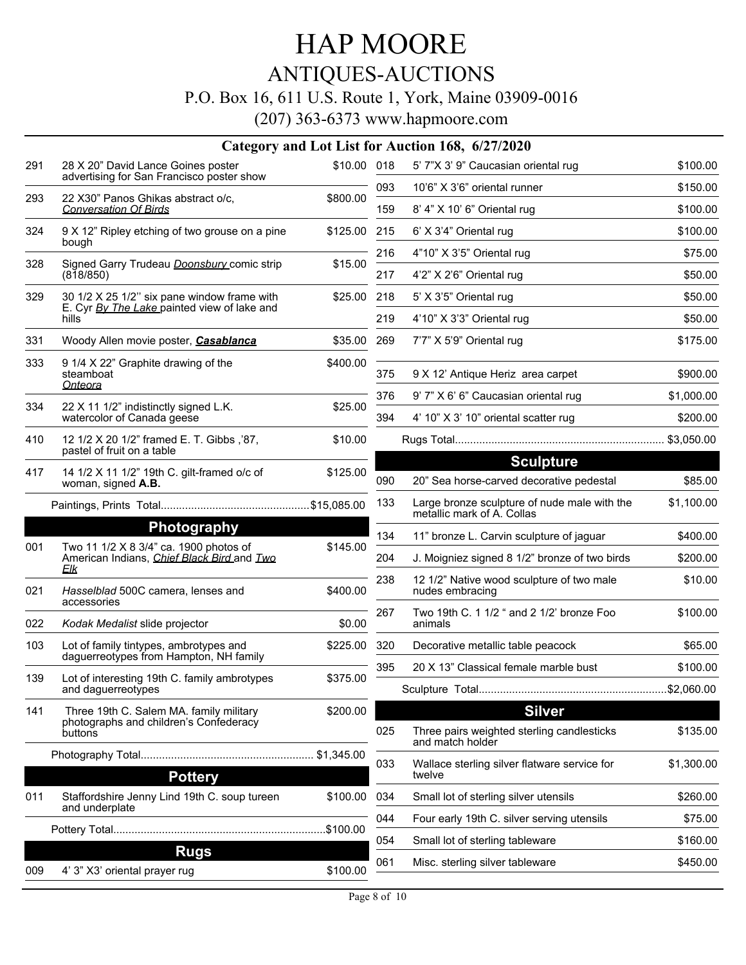### ANTIQUES-AUCTIONS

#### P.O. Box 16, 611 U.S. Route 1, York, Maine 03909-0016

|     |                                                                                            |              |     | Category and Lot List for Auction 168, 6/27/2020                           |                        |
|-----|--------------------------------------------------------------------------------------------|--------------|-----|----------------------------------------------------------------------------|------------------------|
| 291 | 28 X 20" David Lance Goines poster                                                         | \$10.00 018  |     | 5' 7"X 3' 9" Caucasian oriental rug                                        | \$100.00               |
|     | advertising for San Francisco poster show                                                  |              | 093 | 10'6" X 3'6" oriental runner                                               | \$150.00               |
| 293 | 22 X30" Panos Ghikas abstract o/c.<br><b>Conversation Of Birds</b>                         | \$800.00     | 159 | 8' 4" X 10' 6" Oriental rug                                                | \$100.00               |
| 324 | 9 X 12" Ripley etching of two grouse on a pine<br>bough                                    | \$125.00 215 |     | 6' X 3'4" Oriental rug                                                     | \$100.00               |
| 328 | Signed Garry Trudeau Doonsbury comic strip                                                 | \$15.00      | 216 | 4"10" X 3'5" Oriental rug                                                  | \$75.00                |
|     | (818/850)                                                                                  |              | 217 | 4'2" X 2'6" Oriental rug                                                   | \$50.00                |
| 329 | 30 1/2 X 25 1/2" six pane window frame with<br>E. Cyr By The Lake painted view of lake and | \$25.00      | 218 | 5' X 3'5" Oriental rug                                                     | \$50.00                |
|     | hills                                                                                      |              | 219 | 4'10" X 3'3" Oriental rug                                                  | \$50.00                |
| 331 | Woody Allen movie poster, <b>Casablanca</b>                                                | \$35.00      | 269 | 7'7" X 5'9" Oriental rug                                                   | \$175.00               |
| 333 | 9 1/4 X 22" Graphite drawing of the<br>steamboat                                           | \$400.00     | 375 | 9 X 12' Antique Heriz area carpet                                          | \$900.00               |
|     | Onteora                                                                                    |              | 376 | 9' 7" X 6' 6" Caucasian oriental rug                                       | \$1,000.00             |
| 334 | 22 X 11 1/2" indistinctly signed L.K.<br>watercolor of Canada geese                        | \$25.00      | 394 | 4' 10" X 3' 10" oriental scatter rug                                       | \$200.00               |
| 410 | 12 1/2 X 20 1/2" framed E. T. Gibbs, '87,<br>pastel of fruit on a table                    | \$10.00      |     |                                                                            |                        |
| 417 |                                                                                            | \$125.00     |     | <b>Sculpture</b>                                                           |                        |
|     | 14 1/2 X 11 1/2" 19th C. gilt-framed o/c of<br>woman, signed A.B.                          |              | 090 | 20" Sea horse-carved decorative pedestal                                   | \$85.00                |
|     |                                                                                            |              | 133 | Large bronze sculpture of nude male with the<br>metallic mark of A. Collas | \$1,100.00             |
|     | Photography                                                                                |              | 134 | 11" bronze L. Carvin sculpture of jaguar                                   | \$400.00               |
| 001 | Two 11 1/2 X 8 3/4" ca. 1900 photos of<br>American Indians, Chief Black Bird and Two       | \$145.00     | 204 | J. Moigniez signed 8 1/2" bronze of two birds                              | \$200.00               |
| 021 | Elk<br>Hasselblad 500C camera, lenses and                                                  | \$400.00     | 238 | 12 1/2" Native wood sculpture of two male<br>nudes embracing               | \$10.00                |
|     | accessories                                                                                |              | 267 | Two 19th C. 1 1/2 " and 2 1/2' bronze Foo                                  | \$100.00               |
| 022 | Kodak Medalist slide projector                                                             | \$0.00       |     | animals                                                                    |                        |
| 103 | Lot of family tintypes, ambrotypes and<br>daguerreotypes from Hampton, NH family           | \$225.00     | 320 | Decorative metallic table peacock                                          | \$65.00                |
| 139 | Lot of interesting 19th C. family ambrotypes<br>and daguerreotypes                         | \$375.00     | 395 | 20 X 13" Classical female marble bust                                      | \$100.00<br>\$2,060.00 |
| 141 | Three 19th C. Salem MA. family military                                                    | \$200.00     |     | <b>Silver</b>                                                              |                        |
|     | photographs and children's Confederacy<br>buttons                                          |              | 025 | Three pairs weighted sterling candlesticks<br>and match holder             | \$135.00               |
|     | <b>Pottery</b>                                                                             |              | 033 | Wallace sterling silver flatware service for<br>twelve                     | \$1,300.00             |
| 011 | Staffordshire Jenny Lind 19th C. soup tureen                                               | \$100.00     | 034 | Small lot of sterling silver utensils                                      | \$260.00               |
|     | and underplate                                                                             |              | 044 | Four early 19th C. silver serving utensils                                 | \$75.00                |
|     |                                                                                            | \$100.00     | 054 | Small lot of sterling tableware                                            | \$160.00               |
|     | <b>Rugs</b>                                                                                |              | 061 | Misc. sterling silver tableware                                            | \$450.00               |
| 009 | 4' 3" X3' oriental prayer rug                                                              | \$100.00     |     |                                                                            |                        |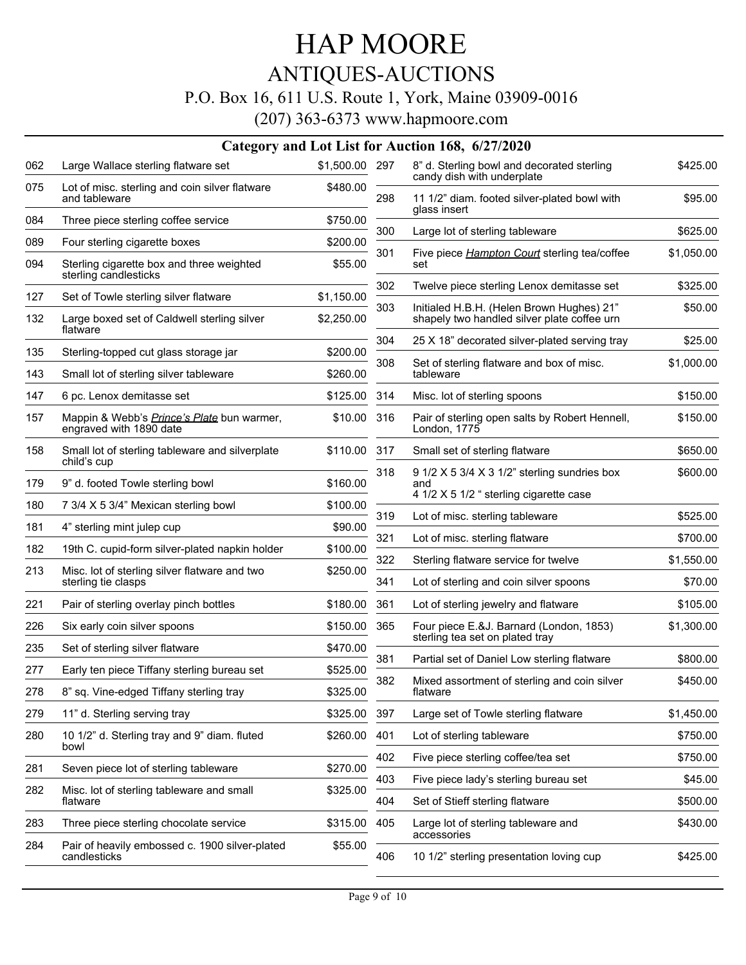## HAP MOORE ANTIQUES-AUCTIONS

#### P.O. Box 16, 611 U.S. Route 1, York, Maine 03909-0016

|     |                                                                              |                |            | Category and Lot List for Auction 168, 6/27/2020                                         |                       |
|-----|------------------------------------------------------------------------------|----------------|------------|------------------------------------------------------------------------------------------|-----------------------|
| 062 | Large Wallace sterling flatware set                                          | \$1,500.00 297 |            | 8" d. Sterling bowl and decorated sterling<br>candy dish with underplate                 | \$425.00              |
| 075 | Lot of misc. sterling and coin silver flatware<br>and tableware              | \$480.00       | 298        | 11 1/2" diam. footed silver-plated bowl with<br>glass insert                             | \$95.00               |
| 084 | Three piece sterling coffee service                                          | \$750.00       |            |                                                                                          |                       |
| 089 | Four sterling cigarette boxes                                                | \$200.00       | 300        | Large lot of sterling tableware                                                          | \$625.00              |
| 094 | Sterling cigarette box and three weighted<br>sterling candlesticks           | \$55.00        | 301        | Five piece <b>Hampton Court</b> sterling tea/coffee<br>set                               | \$1,050.00            |
| 127 | Set of Towle sterling silver flatware                                        | \$1,150.00     | 302        | Twelve piece sterling Lenox demitasse set                                                | \$325.00              |
| 132 | Large boxed set of Caldwell sterling silver<br>flatware                      | \$2,250.00     | 303        | Initialed H.B.H. (Helen Brown Hughes) 21"<br>shapely two handled silver plate coffee urn | \$50.00               |
| 135 | Sterling-topped cut glass storage jar                                        | \$200.00       | 304        | 25 X 18" decorated silver-plated serving tray                                            | \$25.00               |
| 143 | Small lot of sterling silver tableware                                       | \$260.00       | 308        | Set of sterling flatware and box of misc.<br>tableware                                   | \$1,000.00            |
| 147 | 6 pc. Lenox demitasse set                                                    | \$125.00       | 314        | Misc. lot of sterling spoons                                                             | \$150.00              |
| 157 | Mappin & Webb's <i>Prince's Plate</i> bun warmer,<br>engraved with 1890 date | \$10.00        | 316        | Pair of sterling open salts by Robert Hennell,<br>London, 1775                           | \$150.00              |
| 158 | Small lot of sterling tableware and silverplate<br>child's cup               | \$110.00       | 317        | Small set of sterling flatware                                                           | \$650.00              |
| 179 | 9" d. footed Towle sterling bowl                                             | \$160.00       | 318        | 9 1/2 X 5 3/4 X 3 1/2" sterling sundries box<br>and                                      | \$600.00              |
| 180 | 7 3/4 X 5 3/4" Mexican sterling bowl                                         | \$100.00       |            | 4 1/2 X 5 1/2 " sterling cigarette case                                                  |                       |
| 181 | 4" sterling mint julep cup                                                   | \$90.00        | 319        | Lot of misc. sterling tableware                                                          | \$525.00              |
| 182 | 19th C. cupid-form silver-plated napkin holder                               | \$100.00       | 321        | Lot of misc. sterling flatware                                                           | \$700.00              |
| 213 | Misc. lot of sterling silver flatware and two<br>sterling tie clasps         | \$250.00       | 322<br>341 | Sterling flatware service for twelve<br>Lot of sterling and coin silver spoons           | \$1,550.00<br>\$70.00 |
| 221 | Pair of sterling overlay pinch bottles                                       | \$180.00       | 361        | Lot of sterling jewelry and flatware                                                     | \$105.00              |
| 226 | Six early coin silver spoons                                                 | \$150.00       | 365        | Four piece E.&J. Barnard (London, 1853)<br>sterling tea set on plated tray               | \$1,300.00            |
| 235 | Set of sterling silver flatware                                              | \$470.00       | 381        | Partial set of Daniel Low sterling flatware                                              | \$800.00              |
| 277 | Early ten piece Tiffany sterling bureau set                                  | \$525.00       |            |                                                                                          | \$450.00              |
| 278 | 8" sq. Vine-edged Tiffany sterling tray                                      | \$325.00       | 382        | Mixed assortment of sterling and coin silver<br>flatware                                 |                       |
| 279 | 11" d. Sterling serving tray                                                 | \$325.00       | 397        | Large set of Towle sterling flatware                                                     | \$1,450.00            |
| 280 | 10 1/2" d. Sterling tray and 9" diam. fluted<br>bowl                         | \$260.00       | 401        | Lot of sterling tableware                                                                | \$750.00              |
| 281 | Seven piece lot of sterling tableware                                        | \$270.00       | 402        | Five piece sterling coffee/tea set                                                       | \$750.00              |
| 282 | Misc. lot of sterling tableware and small                                    | \$325.00       | 403        | Five piece lady's sterling bureau set                                                    | \$45.00               |
|     | flatware                                                                     |                | 404        | Set of Stieff sterling flatware                                                          | \$500.00              |
| 283 | Three piece sterling chocolate service                                       | \$315.00       | 405        | Large lot of sterling tableware and<br>accessories                                       | \$430.00              |
| 284 | Pair of heavily embossed c. 1900 silver-plated<br>candlesticks               | \$55.00        | 406        | 10 1/2" sterling presentation loving cup                                                 | \$425.00              |